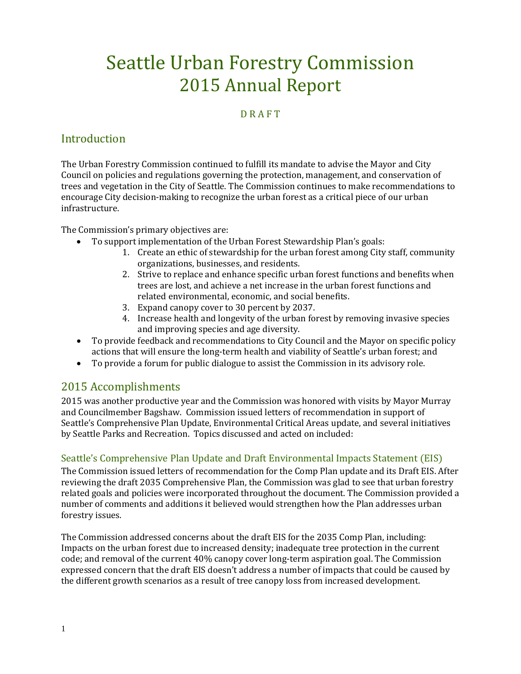# Seattle Urban Forestry Commission 2015 Annual Report

## **D R A F T**

# Introduction

The Urban Forestry Commission continued to fulfill its mandate to advise the Mayor and City Council on policies and regulations governing the protection, management, and conservation of trees and vegetation in the City of Seattle. The Commission continues to make recommendations to encourage City decision-making to recognize the urban forest as a critical piece of our urban infrastructure.

The Commission's primary objectives are:

- To support implementation of the Urban Forest Stewardship Plan's goals:
	- 1. Create an ethic of stewardship for the urban forest among City staff, community organizations, businesses, and residents.
	- 2. Strive to replace and enhance specific urban forest functions and benefits when trees are lost, and achieve a net increase in the urban forest functions and related environmental, economic, and social benefits.
	- 3. Expand canopy cover to 30 percent by 2037.
	- 4. Increase health and longevity of the urban forest by removing invasive species and improving species and age diversity.
- To provide feedback and recommendations to City Council and the Mayor on specific policy actions that will ensure the long-term health and viability of Seattle's urban forest; and
- To provide a forum for public dialogue to assist the Commission in its advisory role.

# 2015 Accomplishments

2015 was another productive year and the Commission was honored with visits by Mayor Murray and Councilmember Bagshaw. Commission issued letters of recommendation in support of Seattle's Comprehensive Plan Update, Environmental Critical Areas update, and several initiatives by Seattle Parks and Recreation. Topics discussed and acted on included:

# Seattle's Comprehensive Plan Update and Draft Environmental Impacts Statement (EIS)

The Commission issued letters of recommendation for the Comp Plan update and its Draft EIS. After reviewing the draft 2035 Comprehensive Plan, the Commission was glad to see that urban forestry related goals and policies were incorporated throughout the document. The Commission provided a number of comments and additions it believed would strengthen how the Plan addresses urban forestry issues.

The Commission addressed concerns about the draft EIS for the 2035 Comp Plan, including: Impacts on the urban forest due to increased density; inadequate tree protection in the current code; and removal of the current 40% canopy cover long-term aspiration goal. The Commission expressed concern that the draft EIS doesn't address a number of impacts that could be caused by the different growth scenarios as a result of tree canopy loss from increased development.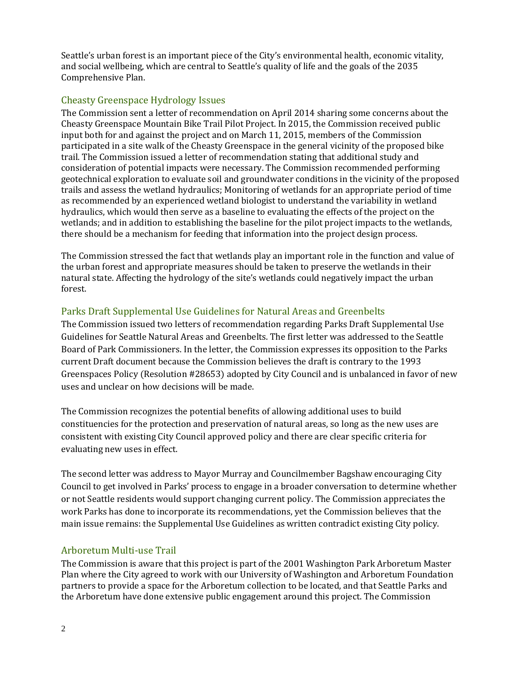Seattle's urban forest is an important piece of the City's environmental health, economic vitality, and social wellbeing, which are central to Seattle's quality of life and the goals of the 2035 Comprehensive Plan.

## Cheasty Greenspace Hydrology Issues

The Commission sent a letter of recommendation on April 2014 sharing some concerns about the Cheasty Greenspace Mountain Bike Trail Pilot Project. In 2015, the Commission received public input both for and against the project and on March 11, 2015, members of the Commission participated in a site walk of the Cheasty Greenspace in the general vicinity of the proposed bike trail. The Commission issued a letter of recommendation stating that additional study and consideration of potential impacts were necessary. The Commission recommended performing geotechnical exploration to evaluate soil and groundwater conditions in the vicinity of the proposed trails and assess the wetland hydraulics; Monitoring of wetlands for an appropriate period of time as recommended by an experienced wetland biologist to understand the variability in wetland hydraulics, which would then serve as a baseline to evaluating the effects of the project on the wetlands; and in addition to establishing the baseline for the pilot project impacts to the wetlands, there should be a mechanism for feeding that information into the project design process.

The Commission stressed the fact that wetlands play an important role in the function and value of the urban forest and appropriate measures should be taken to preserve the wetlands in their natural state. Affecting the hydrology of the site's wetlands could negatively impact the urban forest.

## Parks Draft Supplemental Use Guidelines for Natural Areas and Greenbelts

The Commission issued two letters of recommendation regarding Parks Draft Supplemental Use Guidelines for Seattle Natural Areas and Greenbelts. The first letter was addressed to the Seattle Board of Park Commissioners. In the letter, the Commission expresses its opposition to the Parks current Draft document because the Commission believes the draft is contrary to the 1993 Greenspaces Policy (Resolution #28653) adopted by City Council and is unbalanced in favor of new uses and unclear on how decisions will be made.

The Commission recognizes the potential benefits of allowing additional uses to build constituencies for the protection and preservation of natural areas, so long as the new uses are consistent with existing City Council approved policy and there are clear specific criteria for evaluating new uses in effect.

The second letter was address to Mayor Murray and Councilmember Bagshaw encouraging City Council to get involved in Parks' process to engage in a broader conversation to determine whether or not Seattle residents would support changing current policy. The Commission appreciates the work Parks has done to incorporate its recommendations, yet the Commission believes that the main issue remains: the Supplemental Use Guidelines as written contradict existing City policy.

#### Arboretum Multi-use Trail

The Commission is aware that this project is part of the 2001 Washington Park Arboretum Master Plan where the City agreed to work with our University of Washington and Arboretum Foundation partners to provide a space for the Arboretum collection to be located, and that Seattle Parks and the Arboretum have done extensive public engagement around this project. The Commission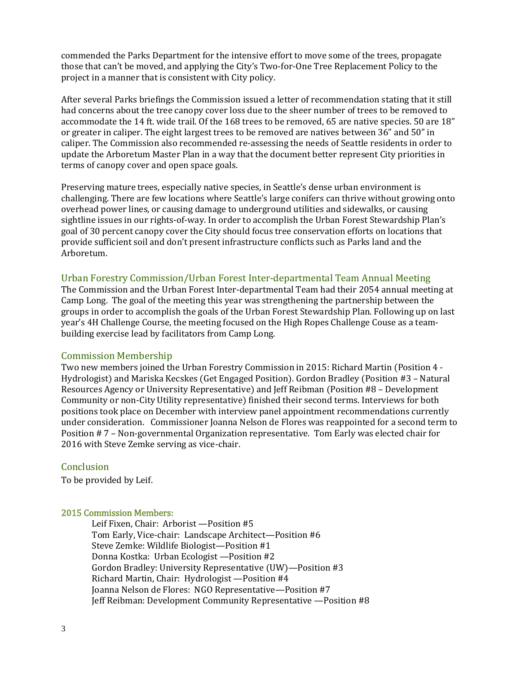commended the Parks Department for the intensive effort to move some of the trees, propagate those that can't be moved, and applying the City's Two-for-One Tree Replacement Policy to the project in a manner that is consistent with City policy.

After several Parks briefings the Commission issued a letter of recommendation stating that it still had concerns about the tree canopy cover loss due to the sheer number of trees to be removed to accommodate the 14 ft. wide trail. Of the 168 trees to be removed, 65 are native species. 50 are 18" or greater in caliper. The eight largest trees to be removed are natives between 36" and 50" in caliper. The Commission also recommended re-assessing the needs of Seattle residents in order to update the Arboretum Master Plan in a way that the document better represent City priorities in terms of canopy cover and open space goals.

Preserving mature trees, especially native species, in Seattle's dense urban environment is challenging. There are few locations where Seattle's large conifers can thrive without growing onto overhead power lines, or causing damage to underground utilities and sidewalks, or causing sightline issues in our rights-of-way. In order to accomplish the Urban Forest Stewardship Plan's goal of 30 percent canopy cover the City should focus tree conservation efforts on locations that provide sufficient soil and don't present infrastructure conflicts such as Parks land and the Arboretum.

#### Urban Forestry Commission/Urban Forest Inter-departmental Team Annual Meeting

The Commission and the Urban Forest Inter-departmental Team had their 2054 annual meeting at Camp Long. The goal of the meeting this year was strengthening the partnership between the groups in order to accomplish the goals of the Urban Forest Stewardship Plan. Following up on last year's 4H Challenge Course, the meeting focused on the High Ropes Challenge Couse as a teambuilding exercise lead by facilitators from Camp Long.

#### Commission Membership

Two new members joined the Urban Forestry Commission in 2015: Richard Martin (Position 4 - Hydrologist) and Mariska Kecskes (Get Engaged Position). Gordon Bradley (Position #3 – Natural Resources Agency or University Representative) and Jeff Reibman (Position #8 – Development Community or non-City Utility representative) finished their second terms. Interviews for both positions took place on December with interview panel appointment recommendations currently under consideration. Commissioner Joanna Nelson de Flores was reappointed for a second term to Position # 7 – Non-governmental Organization representative. Tom Early was elected chair for 2016 with Steve Zemke serving as vice-chair.

#### **Conclusion**

To be provided by Leif.

#### 2015 Commission Members:

Leif Fixen, Chair: Arborist —Position #5 Tom Early, Vice-chair: Landscape Architect—Position #6 Steve Zemke: Wildlife Biologist—Position #1 Donna Kostka: Urban Ecologist —Position #2 Gordon Bradley: University Representative (UW)—Position #3 Richard Martin, Chair: Hydrologist —Position #4 Joanna Nelson de Flores: NGO Representative—Position #7 Jeff Reibman: Development Community Representative —Position #8